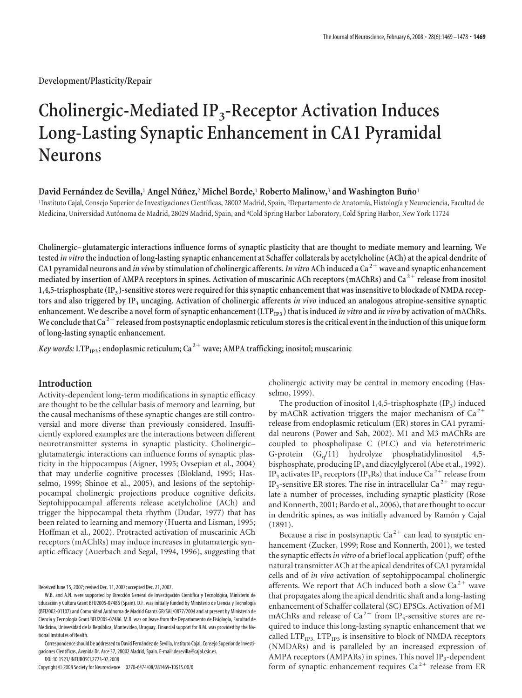**Development/Plasticity/Repair**

# **Cholinergic-Mediated IP3-Receptor Activation Induces Long-Lasting Synaptic Enhancement in CA1 Pyramidal Neurons**

#### **David Ferna´ndez de Sevilla,**<sup>1</sup> **Angel Nu´n˜ez,**<sup>2</sup> **Michel Borde,**<sup>1</sup> **Roberto Malinow,**<sup>3</sup> **and Washington Bun˜o**<sup>1</sup>

<sup>1</sup>Instituto Cajal, Consejo Superior de Investigaciones Científicas, 28002 Madrid, Spain, <sup>2</sup>Departamento de Anatomía, Histología y Neurociencia, Facultad de Medicina, Universidad Autónoma de Madrid, 28029 Madrid, Spain, and <sup>3</sup>Cold Spring Harbor Laboratory, Cold Spring Harbor, New York 11724

**Cholinergic– glutamatergic interactions influence forms of synaptic plasticity that are thought to mediate memory and learning. We tested** *in vitro* **the induction of long-lasting synaptic enhancement at Schaffer collaterals by acetylcholine (ACh) at the apical dendrite of CA1 pyramidal neurons and** *in vivo* **by stimulation of cholinergic afferents.***In vitro* **ACh induced a Ca <sup>2</sup> wave and synaptic enhancement mediated by insertion of AMPA receptors in spines. Activation of muscarinic ACh receptors (mAChRs) and Ca <sup>2</sup> release from inositol 1,4,5-trisphosphate (IP3 )-sensitive stores were required for this synaptic enhancement that was insensitive to blockade of NMDA receptors and also triggered by IP3 uncaging. Activation of cholinergic afferents** *in vivo* **induced an analogous atropine-sensitive synaptic** enhancement. We describe a novel form of synaptic enhancement (LTP<sub>IP3</sub>) that is induced *in vitro* and *in vivo* by activation of mAChRs. We conclude that Ca<sup>2+</sup> released from postsynaptic endoplasmic reticulum stores is the critical event in the induction of this unique form **of long-lasting synaptic enhancement.**

*Key words:* LTP<sub>IP3</sub>; endoplasmic reticulum; Ca<sup>2+</sup> wave; AMPA trafficking; inositol; muscarinic

## **Introduction**

Activity-dependent long-term modifications in synaptic efficacy are thought to be the cellular basis of memory and learning, but the causal mechanisms of these synaptic changes are still controversial and more diverse than previously considered. Insufficiently explored examples are the interactions between different neurotransmitter systems in synaptic plasticity. Cholinergic– glutamatergic interactions can influence forms of synaptic plasticity in the hippocampus (Aigner, 1995; Ovsepian et al., 2004) that may underlie cognitive processes (Blokland, 1995; Hasselmo, 1999; Shinoe et al., 2005), and lesions of the septohippocampal cholinergic projections produce cognitive deficits. Septohippocampal afferents release acetylcholine (ACh) and trigger the hippocampal theta rhythm (Dudar, 1977) that has been related to learning and memory (Huerta and Lisman, 1995; Hoffman et al., 2002). Protracted activation of muscarinic ACh receptors (mAChRs) may induce increases in glutamatergic synaptic efficacy (Auerbach and Segal, 1994, 1996), suggesting that

Received June 15, 2007; revised Dec. 11, 2007; accepted Dec. 21, 2007.

Copyright © 2008 Society for Neuroscience 0270-6474/08/281469-10\$15.00/0

cholinergic activity may be central in memory encoding (Hasselmo, 1999).

The production of inositol 1,4,5-trisphosphate  $(\text{IP}_3)$  induced by mAChR activation triggers the major mechanism of  $Ca^{2+}$ release from endoplasmic reticulum (ER) stores in CA1 pyramidal neurons (Power and Sah, 2002). M1 and M3 mAChRs are coupled to phospholipase C (PLC) and via heterotrimeric G-protein  $(G_q/11)$  hydrolyze phosphatidylinositol 4,5bisphosphate, producing IP<sub>3</sub> and diacylglycerol (Abe et al., 1992). IP<sub>3</sub> activates IP<sub>3</sub> receptors (IP<sub>3</sub>Rs) that induce Ca<sup>2+</sup> release from IP<sub>3</sub>-sensitive ER stores. The rise in intracellular Ca<sup>2+</sup> may regulate a number of processes, including synaptic plasticity (Rose and Konnerth, 2001; Bardo et al., 2006), that are thought to occur in dendritic spines, as was initially advanced by Ramón y Cajal (1891).

Because a rise in postsynaptic  $Ca^{2+}$  can lead to synaptic enhancement (Zucker, 1999; Rose and Konnerth, 2001), we tested the synaptic effects*in vitro* of a brief local application (puff) of the natural transmitter ACh at the apical dendrites of CA1 pyramidal cells and of *in vivo* activation of septohippocampal cholinergic afferents. We report that ACh induced both a slow  $Ca^{2+}$  wave that propagates along the apical dendritic shaft and a long-lasting enhancement of Schaffer collateral (SC) EPSCs. Activation of M1 mAChRs and release of  $Ca^{2+}$  from IP<sub>3</sub>-sensitive stores are required to induce this long-lasting synaptic enhancement that we called  $LTP_{IP3}$ .  $LTP_{IP3}$  is insensitive to block of NMDA receptors (NMDARs) and is paralleled by an increased expression of AMPA receptors (AMPARs) in spines. This novel  $IP_3$ -dependent form of synaptic enhancement requires  $Ca^{2+}$  release from ER

W.B. and A.N. were supported by Dirección General de Investigación Científica y Tecnológica, Ministerio de Educación y Cultura Grant BFU2005-07486 (Spain). D.F. was initially funded by Ministerio de Ciencia y Tecnología (BFI2002-01107) and Comunidad Autónoma de Madrid Grants GR/SAL/0877/2004 and at present by Ministerio de Ciencia y Tecnología Grant BFU2005-07486. M.B. was on leave from the Departamento de Fisiología, Facultad de Medicina, Universidad de la República, Montevideo, Uruguay. Financial support for R.M. was provided by the National Institutes of Health.

Correspondence should be addressed to David Fernández de Sevilla, Instituto Cajal, Consejo Superior de Investigaciones Científicas, Avenida Dr. Arce 37, 28002 Madrid, Spain. E-mail: desevilla@cajal.csic.es.

DOI:10.1523/JNEUROSCI.2723-07.2008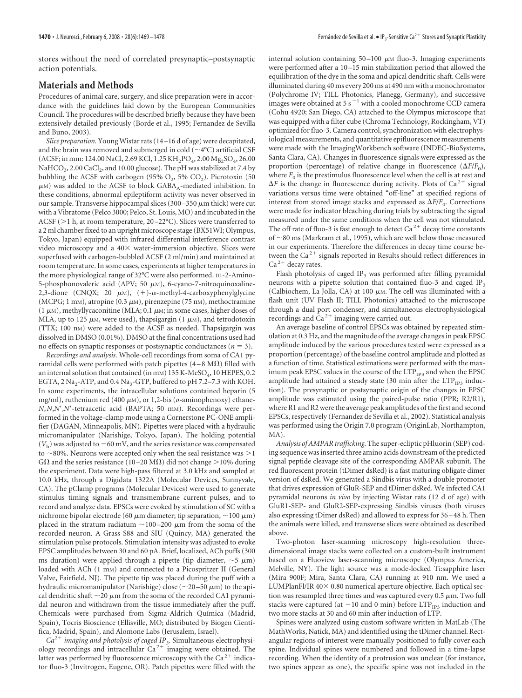stores without the need of correlated presynaptic–postsynaptic action potentials.

## **Materials and Methods**

Procedures of animal care, surgery, and slice preparation were in accordance with the guidelines laid down by the European Communities Council. The procedures will be described briefly because they have been extensively detailed previously (Borde et al., 1995; Fernandez de Sevilla and Buno, 2003).

*Slice preparation.* Young Wistar rats (14 –16 d of age) were decapitated, and the brain was removed and submerged in cold (  $\sim$  4°C) artificial CSF (ACSF; in mm: 124.00 NaCl, 2.69 KCl, 1.25 KH<sub>2</sub>PO<sub>4</sub>, 2.00 Mg<sub>2</sub>SO<sub>4</sub>, 26.00 NaHCO<sub>3</sub>, 2.00 CaCl<sub>2</sub>, and 10.00 glucose). The pH was stabilized at 7.4 by bubbling the ACSF with carbogen (95%  $O_2$ , 5%  $CO_2$ ). Picrotoxin (50  $\mu$ M) was added to the ACSF to block GABA<sub>A</sub>-mediated inhibition. In these conditions, abnormal epileptiform activity was never observed in our sample. Transverse hippocampal slices (300-350  $\mu$ m thick) were cut with a Vibratome (Pelco 3000; Pelco, St. Louis, MO) and incubated in the ACSF ( $>$ 1 h, at room temperature, 20-22°C). Slices were transferred to a 2 ml chamber fixed to an upright microscope stage (BX51WI; Olympus, Tokyo, Japan) equipped with infrared differential interference contrast video microscopy and a  $40\times$  water-immersion objective. Slices were superfused with carbogen-bubbled ACSF (2 ml/min) and maintained at room temperature. In some cases, experiments at higher temperatures in the more physiological range of 32°C were also performed. DL-2-Amino-5-phosphonovaleric acid (APV; 50  $\mu$ M), 6-cyano-7-nitroquinoxaline-2,3-dione (CNQX; 20  $\mu$ M), (+)- $\alpha$ -methyl-4-carboxyphenylglycine (MCPG; 1 mM), atropine (0.3  $\mu$ M), pirenzepine (75 nM), methoctramine  $(1 \mu M)$ , methyllycaconitine (MLA; 0.1  $\mu$ M; in some cases, higher doses of MLA, up to 125  $\mu$ M, were used), thapsigargin (1  $\mu$ M), and tetrodotoxin (TTX; 100 nM) were added to the ACSF as needed. Thapsigargin was dissolved in DMSO (0.01%). DMSO at the final concentrations used had no effects on synaptic responses or postsynaptic conductances  $(n = 3)$ .

*Recordings and analysis.* Whole-cell recordings from soma of CA1 pyramidal cells were performed with patch pipettes  $(4-8 \text{ M}\Omega)$  filled with an internal solution that contained (in mm)  $135$  K-MeSO<sub>4</sub>, 10 HEPES, 0.2 EGTA, 2 Na<sub>2</sub>-ATP, and 0.4 Na<sub>3</sub>-GTP, buffered to pH 7.2–7.3 with KOH. In some experiments, the intracellular solutions contained heparin (5 mg/ml), ruthenium red (400  $\mu$ <sub>M</sub>), or 1,2-bis ( $o$ -aminophenoxy) ethane-*N*,*N*,*N*,*N*-tetraacetic acid (BAPTA; 50 mM). Recordings were performed in the voltage-clamp mode using a Cornerstone PC-ONE amplifier (DAGAN, Minneapolis, MN). Pipettes were placed with a hydraulic micromanipulator (Narishige, Tokyo, Japan). The holding potential  $(V<sub>h</sub>)$  was adjusted to  $-60$  mV, and the series resistance was compensated to  $\sim$ 80%. Neurons were accepted only when the seal resistance was  $>$ 1 G $\Omega$  and the series resistance (10–20 M $\Omega$ ) did not change >10% during the experiment. Data were high-pass filtered at 3.0 kHz and sampled at 10.0 kHz, through a Digidata 1322A (Molecular Devices, Sunnyvale, CA). The pClamp programs (Molecular Devices) were used to generate stimulus timing signals and transmembrane current pulses, and to record and analyze data. EPSCs were evoked by stimulation of SC with a nichrome bipolar electrode (60  $\mu$ m diameter; tip separation,  $\sim$  100  $\mu$ m) placed in the stratum radiatum  ${\sim}100{-}200$   ${\rm \mu m}$  from the soma of the recorded neuron. A Grass S88 and SIU (Quincy, MA) generated the stimulation pulse protocols. Stimulation intensity was adjusted to evoke EPSC amplitudes between 30 and 60 pA. Brief, localized, ACh puffs (300 ms duration) were applied through a pipette (tip diameter,  $\sim$ 5  $\mu$ m) loaded with ACh (1 m<sub>M</sub>) and connected to a Picospritzer II (General Valve, Fairfield, NJ). The pipette tip was placed during the puff with a hydraulic micromanipulator (Narishige) close ( $\sim$ 20–50  $\mu$ m) to the apical dendritic shaft  $\sim$ 20  $\mu$ m from the soma of the recorded CA1 pyramidal neuron and withdrawn from the tissue immediately after the puff. Chemicals were purchased from Sigma-Aldrich Química (Madrid, Spain), Tocris Bioscience (Ellisville, MO; distributed by Biogen Científica, Madrid, Spain), and Alomone Labs (Jerusalem, Israel).

 $Ca^{2+}$  *imaging and photolysis of caged IP<sub>3</sub>.* Simultaneous electrophysiology recordings and intracellular  $Ca^{2+}$  imaging were obtained. The latter was performed by fluorescence microscopy with the  $Ca<sup>2+</sup>$  indicator fluo-3 (Invitrogen, Eugene, OR). Patch pipettes were filled with the internal solution containing  $50 - 100 \mu M$  fluo-3. Imaging experiments were performed after a 10 –15 min stabilization period that allowed the equilibration of the dye in the soma and apical dendritic shaft. Cells were illuminated during 40 ms every 200 ms at 490 nm with a monochromator (Polychrome IV; TILL Photonics, Planegg, Germany), and successive images were obtained at 5 s<sup> $-1$ </sup> with a cooled monochrome CCD camera (Cohu 4920; San Diego, CA) attached to the Olympus microscope that was equipped with a filter cube (Chroma Technology, Rockingham, VT) optimized for fluo-3. Camera control, synchronization with electrophysiological measurements, and quantitative epifluorescence measurements were made with the ImagingWorkbench software (INDEC-BioSystems, Santa Clara, CA). Changes in fluorescence signals were expressed as the proportion (percentage) of relative change in fluorescence  $(\Delta F/F_0)$ , where  $F_0$  is the prestimulus fluorescence level when the cell is at rest and  $\Delta F$  is the change in fluorescence during activity. Plots of Ca<sup>2+</sup> signal variations versus time were obtained "off-line" at specified regions of interest from stored image stacks and expressed as  $\Delta F/F_0$ . Corrections were made for indicator bleaching during trials by subtracting the signal measured under the same conditions when the cell was not stimulated. The off rate of fluo-3 is fast enough to detect  $Ca^{2+}$  decay time constants of  $\sim$  80 ms (Markram et al., 1995), which are well below those measured in our experiments. Therefore the differences in decay time course between the Ca<sup>2+</sup> signals reported in Results should reflect differences in  $Ca<sup>2+</sup>$  decay rates.

Flash photolysis of caged  $IP_3$  was performed after filling pyramidal neurons with a pipette solution that contained fluo-3 and caged  $IP<sub>3</sub>$ (Calbiochem, La Jolla, CA) at 100  $\mu$ m. The cell was illuminated with a flash unit (UV Flash II; TILL Photonics) attached to the microscope through a dual port condenser, and simultaneous electrophysiological recordings and  $Ca^{2+}$  imaging were carried out.

An average baseline of control EPSCs was obtained by repeated stimulation at 0.3 Hz, and the magnitude of the average changes in peak EPSC amplitude induced by the various procedures tested were expressed as a proportion (percentage) of the baseline control amplitude and plotted as a function of time. Statistical estimations were performed with the maximum peak EPSC values in the course of the  $LTP_{IP3}$  and when the EPSC amplitude had attained a steady state (30 min after the  $LTP_{IP3}$  induction). The presynaptic or postsynaptic origin of the changes in EPSC amplitude was estimated using the paired-pulse ratio (PPR; R2/R1), where R1 and R2 were the average peak amplitudes of the first and second EPSCs, respectively (Fernandez de Sevilla et al., 2002). Statistical analysis was performed using the Origin 7.0 program (OriginLab, Northampton, MA).

*Analysis of AMPAR trafficking.* The super-ecliptic pHluorin (SEP) coding sequence was inserted three amino acids downstream of the predicted signal peptide cleavage site of the corresponding AMPAR subunit. The red fluorescent protein (tDimer dsRed) is a fast maturing obligate dimer version of dsRed. We generated a Sindbis virus with a double promoter that drives expression of GluR-SEP and tDimer dsRed. We infected CA1 pyramidal neurons *in vivo* by injecting Wistar rats (12 d of age) with GluR1-SEP- and GluR2-SEP-expressing Sindbis viruses (both viruses also expressing tDimer dsRed) and allowed to express for 36 – 48 h. Then the animals were killed, and transverse slices were obtained as described above.

Two-photon laser-scanning microscopy high-resolution threedimensional image stacks were collected on a custom-built instrument based on a Fluoview laser-scanning microscope (Olympus America, Melville, NY). The light source was a mode-locked Ti:sapphire laser (Mira 900F; Mira, Santa Clara, CA) running at 910 nm. We used a LUMPlanFl/IR  $40\times 0.80$  numerical aperture objective. Each optical section was resampled three times and was captured every 0.5  $\mu$ m. Two full stacks were captured (at  $-10$  and 0 min) before LTP<sub>IP3</sub> induction and two more stacks at 30 and 60 min after induction of LTP.

Spines were analyzed using custom software written in MatLab (The MathWorks, Natick, MA) and identified using the tDimer channel. Rectangular regions of interest were manually positioned to fully cover each spine. Individual spines were numbered and followed in a time-lapse recording. When the identity of a protrusion was unclear (for instance, two spines appear as one), the specific spine was not included in the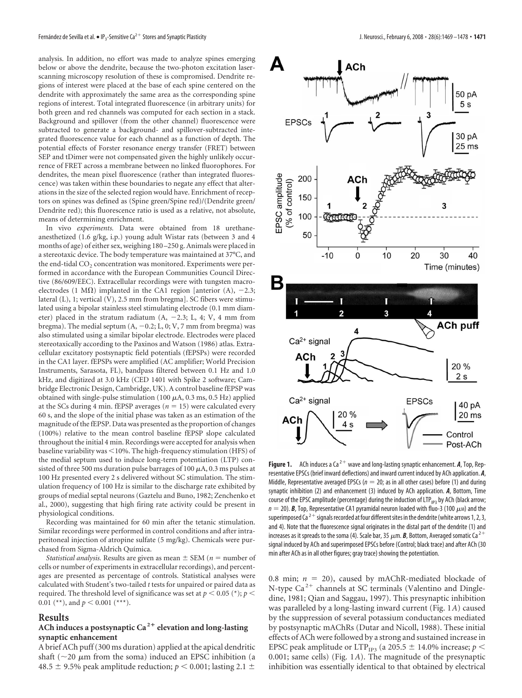analysis. In addition, no effort was made to analyze spines emerging below or above the dendrite, because the two-photon excitation laserscanning microscopy resolution of these is compromised. Dendrite regions of interest were placed at the base of each spine centered on the dendrite with approximately the same area as the corresponding spine regions of interest. Total integrated fluorescence (in arbitrary units) for both green and red channels was computed for each section in a stack. Background and spillover (from the other channel) fluorescence were subtracted to generate a background- and spillover-subtracted integrated fluorescence value for each channel as a function of depth. The potential effects of Forster resonance energy transfer (FRET) between SEP and tDimer were not compensated given the highly unlikely occurrence of FRET across a membrane between no linked fluorophores. For dendrites, the mean pixel fluorescence (rather than integrated fluorescence) was taken within these boundaries to negate any effect that alterations in the size of the selected region would have. Enrichment of receptors on spines was defined as (Spine green/Spine red)/(Dendrite green/ Dendrite red); this fluorescence ratio is used as a relative, not absolute, means of determining enrichment.

In vivo *experiments.* Data were obtained from 18 urethaneanesthetized (1.6 g/kg, i.p.) young adult Wistar rats (between 3 and 4 months of age) of either sex, weighing 180 –250 g. Animals were placed in a stereotaxic device. The body temperature was maintained at 37°C, and the end-tidal CO<sub>2</sub> concentration was monitored. Experiments were performed in accordance with the European Communities Council Directive (86/609/EEC). Extracellular recordings were with tungsten macroelectrodes (1 M $\Omega$ ) implanted in the CA1 region [anterior (A), -2.3; lateral (L), 1; vertical (V), 2.5 mm from bregma]. SC fibers were stimulated using a bipolar stainless steel stimulating electrode (0.1 mm diameter) placed in the stratum radiatum  $(A, -2.3; L, 4; V, 4 \text{ mm from})$ bregma). The medial septum  $(A, -0.2; L, 0; V, 7$  mm from bregma) was also stimulated using a similar bipolar electrode. Electrodes were placed stereotaxically according to the Paxinos and Watson (1986) atlas. Extracellular excitatory postsynaptic field potentials (fEPSPs) were recorded in the CA1 layer. fEPSPs were amplified (AC amplifier; World Precision Instruments, Sarasota, FL), bandpass filtered between 0.1 Hz and 1.0 kHz, and digitized at 3.0 kHz (CED 1401 with Spike 2 software; Cambridge Electronic Design, Cambridge, UK). A control baseline fEPSP was obtained with single-pulse stimulation (100  $\mu$ A, 0.3 ms, 0.5 Hz) applied at the SCs during 4 min. fEPSP averages ( $n = 15$ ) were calculated every 60 s, and the slope of the initial phase was taken as an estimation of the magnitude of the fEPSP. Data was presented as the proportion of changes (100%) relative to the mean control baseline fEPSP slope calculated throughout the initial 4 min. Recordings were accepted for analysis when baseline variability was 10%. The high-frequency stimulation (HFS) of the medial septum used to induce long-term potentiation (LTP) consisted of three 500 ms duration pulse barrages of 100  $\mu$ A, 0.3 ms pulses at 100 Hz presented every 2 s delivered without SC stimulation. The stimulation frequency of 100 Hz is similar to the discharge rate exhibited by groups of medial septal neurons (Gaztelu and Buno, 1982; Zenchenko et al., 2000), suggesting that high firing rate activity could be present in physiological conditions.

Recording was maintained for 60 min after the tetanic stimulation. Similar recordings were performed in control conditions and after intraperitoneal injection of atropine sulfate (5 mg/kg). Chemicals were purchased from Sigma-Aldrich Química.

*Statistical analysis.* Results are given as mean  $\pm$  SEM ( $n =$  number of cells or number of experiments in extracellular recordings), and percentages are presented as percentage of controls. Statistical analyses were calculated with Student's two-tailed *t* tests for unpaired or paired data as required. The threshold level of significance was set at  $p <$  0.05 (\*);  $p <$ 0.01 (\*\*), and  $p < 0.001$  (\*\*\*).

#### **Results**

# **ACh induces a postsynaptic Ca <sup>2</sup> elevation and long-lasting synaptic enhancement**

A brief ACh puff (300 ms duration) applied at the apical dendritic shaft ( $\sim$ 20  $\mu$ m from the soma) induced an EPSC inhibition (a 48.5  $\pm$  9.5% peak amplitude reduction;  $p < 0.001$ ; lasting 2.1  $\pm$ 



**Figure 1.** ACh induces a Ca<sup>2+</sup> wave and long-lasting synaptic enhancement.  $A$ , Top, Representative EPSCs (brief inward deflections) and inward current induced by ACh application. *A*, Middle, Representative averaged EPSCs ( $n = 20$ ; as in all other cases) before (1) and during synaptic inhibition (2) and enhancement (3) induced by ACh application. *A*, Bottom, Time course of the EPSC amplitude (percentage) during the induction of  $LTP_{1P3}$  by ACh (black arrow;  $n = 20$ ). **B**, Top, Representative CA1 pyramidal neuron loaded with fluo-3 (100  $\mu$ m) and the superimposed Ca<sup>2+</sup> signals recorded at four different sites in the dendrite (white arrows 1, 2, 3, and 4). Note that the fluorescence signal originates in the distal part of the dendrite (1) and increases as it spreads to the soma (4). Scale bar, 35  $\mu$ m. **B**, Bottom, Averaged somatic Ca<sup>2+</sup> signal induced by ACh and superimposed EPSCs before (Control; black trace) and after ACh (30 min after ACh as in all other figures; gray trace) showing the potentiation.

0.8 min;  $n = 20$ ), caused by mAChR-mediated blockade of N-type  $Ca^{2+}$  channels at SC terminals (Valentino and Dingledine, 1981; Qian and Saggau, 1997). This presynaptic inhibition was paralleled by a long-lasting inward current (Fig. 1*A*) caused by the suppression of several potassium conductances mediated by postsynaptic mAChRs (Dutar and Nicoll, 1988). These initial effects of ACh were followed by a strong and sustained increase in EPSC peak amplitude or  $\text{LTP}_\text{IP3}$  (a 205.5  $\pm$  14.0% increase;  $p$   $<$ 0.001; same cells) (Fig. 1*A*). The magnitude of the presynaptic inhibition was essentially identical to that obtained by electrical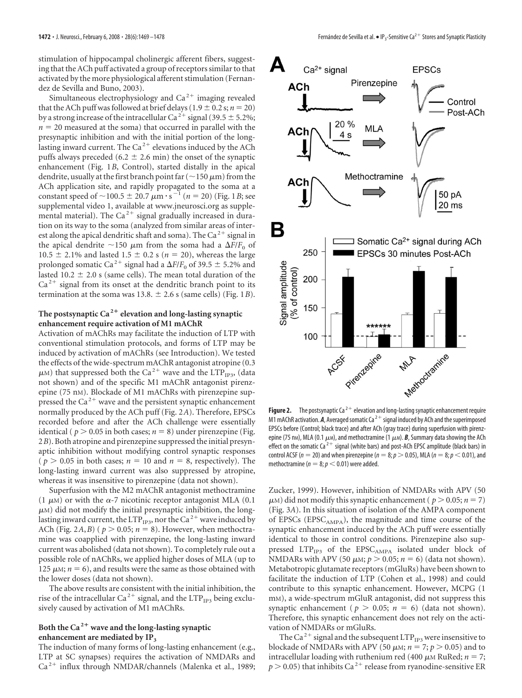stimulation of hippocampal cholinergic afferent fibers, suggesting that the ACh puff activated a group of receptors similar to that activated by the more physiological afferent stimulation (Fernandez de Sevilla and Buno, 2003).

Simultaneous electrophysiology and  $Ca<sup>2+</sup>$  imaging revealed that the ACh puff was followed at brief delays (1.9  $\pm$  0.2 s; *n* = 20) by a strong increase of the intracellular Ca<sup>2+</sup> signal (39.5  $\pm$  5.2%;  $n = 20$  measured at the soma) that occurred in parallel with the presynaptic inhibition and with the initial portion of the longlasting inward current. The  $Ca^{2+}$  elevations induced by the ACh puffs always preceded (6.2  $\pm$  2.6 min) the onset of the synaptic enhancement (Fig. 1*B*, Control), started distally in the apical dendrite, usually at the first branch point far ( $\sim$ 150  $\mu$ m) from the ACh application site, and rapidly propagated to the soma at a constant speed of  $\sim$  100.5  $\pm$  20.7  $\mu$ m·s<sup>-1</sup> (*n* = 20) (Fig. 1*B*; see supplemental video 1, available at www.jneurosci.org as supplemental material). The  $Ca^{2+}$  signal gradually increased in duration on its way to the soma (analyzed from similar areas of interest along the apical dendritic shaft and soma). The Ca<sup>2+</sup> signal in the apical dendrite  $\sim$ 150  $\mu$ m from the soma had a  $\Delta F/F_0$  of  $10.5 \pm 2.1\%$  and lasted  $1.5 \pm 0.2$  s ( $n = 20$ ), whereas the large prolonged somatic Ca<sup>2+</sup> signal had a  $\Delta F/F_0$  of 39.5  $\pm$  5.2% and lasted 10.2  $\pm$  2.0 s (same cells). The mean total duration of the  $Ca<sup>2+</sup>$  signal from its onset at the dendritic branch point to its termination at the soma was 13.8.  $\pm$  2.6 s (same cells) (Fig. 1*B*).

# The postsynaptic  $Ca^{2+}$  elevation and long-lasting synaptic **enhancement require activation of M1 mAChR**

Activation of mAChRs may facilitate the induction of LTP with conventional stimulation protocols, and forms of LTP may be induced by activation of mAChRs (see Introduction). We tested the effects of the wide-spectrum mAChR antagonist atropine (0.3  $\mu$ M) that suppressed both the Ca<sup>2+</sup> wave and the LTP<sub>IP3</sub>, (data not shown) and of the specific M1 mAChR antagonist pirenzepine (75 nM). Blockade of M1 mAChRs with pirenzepine suppressed the  $Ca^{2+}$  wave and the persistent synaptic enhancement normally produced by the ACh puff (Fig. 2*A*). Therefore, EPSCs recorded before and after the ACh challenge were essentially identical ( $p > 0.05$  in both cases;  $n = 8$ ) under pirenzepine (Fig. 2*B*). Both atropine and pirenzepine suppressed the initial presynaptic inhibition without modifying control synaptic responses ( $p > 0.05$  in both cases;  $n = 10$  and  $n = 8$ , respectively). The long-lasting inward current was also suppressed by atropine, whereas it was insensitive to pirenzepine (data not shown).

Superfusion with the M2 mAChR antagonist methoctramine  $(1 \mu)$  or with the  $\alpha$ -7 nicotinic receptor antagonist MLA (0.1)  $\mu$ M) did not modify the initial presynaptic inhibition, the longlasting inward current, the LTP<sub>IP3</sub>, nor the Ca<sup>2+</sup> wave induced by ACh (Fig. 2*A*,*B*) ( $p > 0.05$ ;  $n = 8$ ). However, when methoctramine was coapplied with pirenzepine, the long-lasting inward current was abolished (data not shown). To completely rule out a possible role of nAChRs, we applied higher doses of MLA (up to 125  $\mu$ M;  $n = 6$ ), and results were the same as those obtained with the lower doses (data not shown).

The above results are consistent with the initial inhibition, the rise of the intracellular Ca<sup>2+</sup> signal, and the LTP<sub>IP3</sub> being exclusively caused by activation of M1 mAChRs.

## **Both the Ca <sup>2</sup> wave and the long-lasting synaptic enhancement are mediated by IP3**

The induction of many forms of long-lasting enhancement (e.g., LTP at SC synapses) requires the activation of NMDARs and  $Ca<sup>2+</sup>$  influx through NMDAR/channels (Malenka et al., 1989;



**Figure 2.** The postsynaptic Ca<sup> $2+$ </sup> elevation and long-lasting synaptic enhancement require M1 mAChR activation.  $A$ , Averaged somatic Ca<sup>2+</sup> signal induced by ACh and the superimposed EPSCs before (Control; black trace) and after ACh (gray trace) during superfusion with pirenzepine (75 nm), MLA (0.1  $\mu$ m), and methoctramine (1  $\mu$ m). **B**, Summary data showing the ACh effect on the somatic Ca<sup>2+</sup> signal (white bars) and post-ACh EPSC amplitude (black bars) in control ACSF ( $n=$  20) and when pirenzepine ( $n=$  8;  $p$   $>$  0.05), MLA ( $n=$  8;  $p$   $<$  0.01), and methoctramine ( $n = 8; p < 0.01$ ) were added.

Zucker, 1999). However, inhibition of NMDARs with APV (50  $\mu$ <sub>M</sub>) did not modify this synaptic enhancement ( $p > 0.05$ ;  $n = 7$ ) (Fig. 3*A*). In this situation of isolation of the AMPA component of EPSCs (EPSC<sub>AMPA</sub>), the magnitude and time course of the synaptic enhancement induced by the ACh puff were essentially identical to those in control conditions. Pirenzepine also suppressed LTP<sub>IP3</sub> of the EPSC<sub>AMPA</sub> isolated under block of NMDARs with APV (50  $\mu$ M;  $p > 0.05$ ;  $n = 6$ ) (data not shown). Metabotropic glutamate receptors (mGluRs) have been shown to facilitate the induction of LTP (Cohen et al., 1998) and could contribute to this synaptic enhancement. However, MCPG (1 mM), a wide-spectrum mGluR antagonist, did not suppress this synaptic enhancement ( $p > 0.05$ ;  $n = 6$ ) (data not shown). Therefore, this synaptic enhancement does not rely on the activation of NMDARs or mGluRs.

The Ca<sup>2+</sup> signal and the subsequent  $LTP_{IP3}$  were insensitive to blockade of NMDARs with APV (50  $\mu$ M;  $n = 7$ ;  $p > 0.05$ ) and to intracellular loading with ruthenium red (400  $\mu$ M RuRed; *n* = 7;  $p > 0.05$ ) that inhibits Ca<sup>2+</sup> release from ryanodine-sensitive ER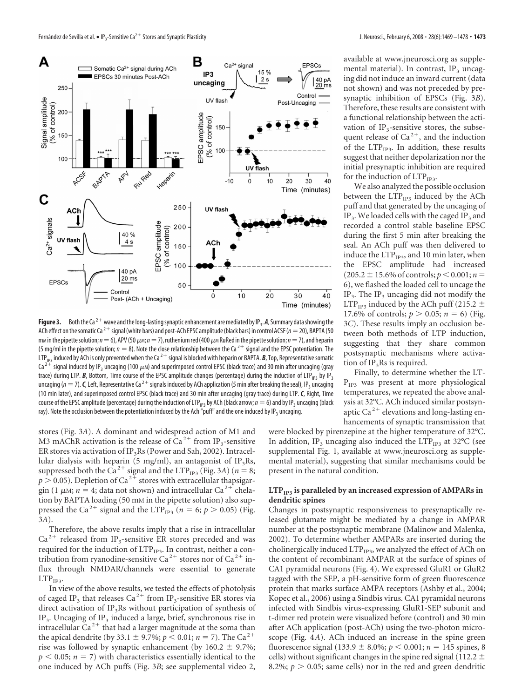

**Figure 3.** Both the Ca<sup>2+</sup> wave and the long-lasting synaptic enhancement are mediated by IP<sub>3</sub>. A, Summary data showing the ACh effect on the somatic Ca<sup>2+</sup> signal (white bars) and post-ACh EPSC amplitude (black bars) in control ACSF (*n* = 20), BAPTA (50 mm in the pipette solution;  $n=6$ ), APV (50  $\mu$ m;  $n=7$ ), ruthenium red (400  $\mu$ m RuRed in the pipette solution;  $n=7$ ), and heparin (5 mg/ml in the pipette solution;  $n = 8$ ). Note the close relationship between the Ca<sup>2+</sup> signal and the EPSC potentiation. The LTP<sub>IP3</sub> induced by ACh is only prevented when the Ca<sup>2+</sup> signal is blocked with heparin or BAPTA. *B*, Top, Representative somatic<br>Ca<sup>2+</sup> signal induced by IP<sub>2</sub> uncaging (100  $\mu$ M) and superimposed control EPSC (black  $\bar{C}$  signal induced by IP<sub>3</sub> uncaging (100  $\mu$ m) and superimposed control EPSC (black trace) and 30 min after uncaging (gray trace) during LTP. **B**, Bottom, Time course of the EPSC amplitude changes (percentage) during the induction of LTP<sub>IP3</sub> by IP<sub>3</sub> uncaging ( $n = 7$ ). *C*, Left, Representative Ca<sup>2+</sup> signals induced by ACh application (5 min after breaking the seal), IP<sub>3</sub> uncaging (10 min later), and superimposed control EPSC (black trace) and 30 min after uncaging (gray trace) during LTP. *C*, Right, Time course of the EPSC amplitude (percentage) during the induction of LTP<sub>IP3</sub> by ACh (black arrow;  $n=6$ ) and by IP<sub>3</sub> uncaging (black ray). Note the occlusion between the potentiation induced by the Ach "puff" and the one induced by IP<sub>3</sub> uncaging.

stores (Fig. 3*A*). A dominant and widespread action of M1 and M3 mAChR activation is the release of  $Ca^{2+}$  from IP<sub>3</sub>-sensitive ER stores via activation of IP<sub>3</sub>Rs (Power and Sah, 2002). Intracellular dialysis with heparin (5 mg/ml), an antagonist of IP<sub>3</sub>Rs, suppressed both the Ca<sup>2+</sup> signal and the LTP<sub>IP3</sub> (Fig. 3*A*) ( $n = 8$ ;  $p > 0.05$ ). Depletion of Ca<sup>2+</sup> stores with extracellular thapsigargin (1  $\mu$ M;  $n = 4$ ; data not shown) and intracellular Ca<sup>2+</sup> chelation by BAPTA loading (50 mM in the pipette solution) also suppressed the Ca<sup>2+</sup> signal and the LTP<sub>IP3</sub> ( $n = 6$ ;  $p > 0.05$ ) (Fig. 3*A*).

Therefore, the above results imply that a rise in intracellular  $Ca<sup>2+</sup>$  released from IP<sub>3</sub>-sensitive ER stores preceded and was required for the induction of LTP<sub>IP3</sub>. In contrast, neither a contribution from ryanodine-sensitive Ca<sup>2+</sup> stores nor of Ca<sup>2+</sup> influx through NMDAR/channels were essential to generate  $LTP_{IP3}$ .

In view of the above results, we tested the effects of photolysis of caged IP<sub>3</sub> that releases Ca<sup>2+</sup> from IP<sub>3</sub>-sensitive ER stores via direct activation of  $IP_3Rs$  without participation of synthesis of IP<sub>3</sub>. Uncaging of IP<sub>3</sub> induced a large, brief, synchronous rise in intracellular  $Ca^{2+}$  that had a larger magnitude at the soma than the apical dendrite (by 33.1  $\pm$  9.7%; *p* < 0.01; *n* = 7). The Ca<sup>2+</sup> rise was followed by synaptic enhancement (by  $160.2 \pm 9.7\%$ ;  $p < 0.05$ ;  $n = 7$ ) with characteristics essentially identical to the one induced by ACh puffs (Fig. 3*B*; see supplemental video 2,

available at www.jneurosci.org as supplemental material). In contrast,  $IP<sub>3</sub>$  uncaging did not induce an inward current (data not shown) and was not preceded by presynaptic inhibition of EPSCs (Fig. 3*B*). Therefore, these results are consistent with a functional relationship between the activation of  $IP_3$ -sensitive stores, the subsequent release of  $Ca^{2+}$ , and the induction of the  $LTP_{IP3}$ . In addition, these results suggest that neither depolarization nor the initial presynaptic inhibition are required for the induction of LTP<sub>IP3</sub>.

We also analyzed the possible occlusion between the  $LTP_{IP3}$  induced by the ACh puff and that generated by the uncaging of  $IP<sub>3</sub>$ . We loaded cells with the caged  $IP<sub>3</sub>$  and recorded a control stable baseline EPSC during the first 5 min after breaking the seal. An ACh puff was then delivered to induce the  $LTP_{IP3}$ , and 10 min later, when the EPSC amplitude had increased  $(205.2 \pm 15.6\% \text{ of controls}; p < 0.001; n =$ 6), we flashed the loaded cell to uncage the IP<sub>3</sub>. The IP<sub>3</sub> uncaging did not modify the LTP<sub>IP3</sub> induced by the ACh puff (215.2  $\pm$ 17.6% of controls;  $p > 0.05$ ;  $n = 6$ ) (Fig. 3*C*). These results imply an occlusion between both methods of LTP induction, suggesting that they share common postsynaptic mechanisms where activation of  $IP<sub>3</sub>Rs$  is required.

Finally, to determine whether the LT- $P_{IP3}$  was present at more physiological temperatures, we repeated the above analysis at 32°C. ACh induced similar postsynaptic Ca<sup>2+</sup> elevations and long-lasting enhancements of synaptic transmission that

were blocked by pirenzepine at the higher temperature of 32°C. In addition, IP<sub>3</sub> uncaging also induced the LTP<sub>IP3</sub> at  $32^{\circ}$ C (see supplemental Fig. 1, available at www.jneurosci.org as supplemental material), suggesting that similar mechanisms could be present in the natural condition.

## LTP<sub>IP3</sub> is paralleled by an increased expression of AMPARs in **dendritic spines**

Changes in postsynaptic responsiveness to presynaptically released glutamate might be mediated by a change in AMPAR number at the postsynaptic membrane (Malinow and Malenka, 2002). To determine whether AMPARs are inserted during the cholinergically induced LTP<sub>IP3</sub>, we analyzed the effect of ACh on the content of recombinant AMPAR at the surface of spines of CA1 pyramidal neurons (Fig. 4). We expressed GluR1 or GluR2 tagged with the SEP, a pH-sensitive form of green fluorescence protein that marks surface AMPA receptors (Ashby et al., 2004; Kopec et al., 2006) using a Sindbis virus. CA1 pyramidal neurons infected with Sindbis virus-expressing GluR1-SEP subunit and t-dimer red protein were visualized before (control) and 30 min after ACh application (post-ACh) using the two-photon microscope (Fig. 4*A*). ACh induced an increase in the spine green fluorescence signal (133.9  $\pm$  8.0%;  $p < 0.001$ ;  $n = 145$  spines, 8 cells) without significant changes in the spine red signal (112.2  $\pm$ 8.2%;  $p > 0.05$ ; same cells) nor in the red and green dendritic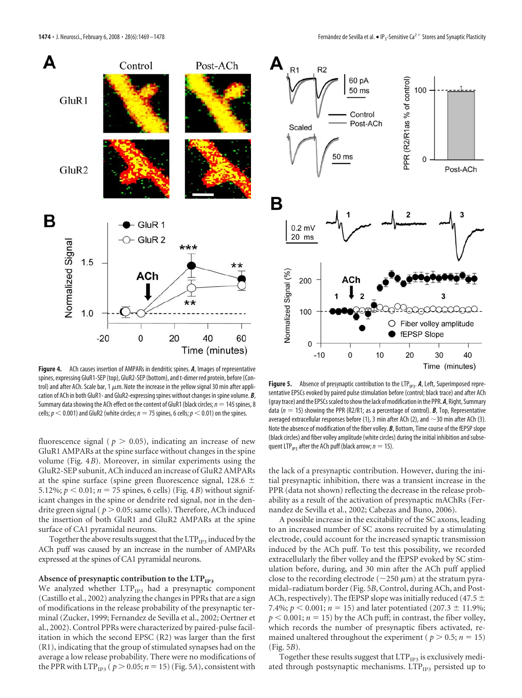

**Figure 4.** ACh causes insertion of AMPARs in dendritic spines. *A*, Images of representative spines, expressing GluR1-SEP (top), GluR2-SEP (bottom), and t-dimer red protein, before (Control) and after ACh. Scale bar, 1  $\mu$ m. Note the increase in the yellow signal 30 min after application of ACh in both GluR1- and GluR2-expressing spines without changes in spine volume. *B*, Summary data showing the ACh effect on the content of GluR1 (black circles;  $n=145$  spines, 8 cells;  $p <$  0.001) and GluR2 (white circles;  $n =$  75 spines, 6 cells;  $p <$  0.01) on the spines.

fluorescence signal ( $p > 0.05$ ), indicating an increase of new GluR1 AMPARs at the spine surface without changes in the spine volume (Fig. 4*B*). Moreover, in similar experiments using the GluR2-SEP subunit, ACh induced an increase of GluR2 AMPARs at the spine surface (spine green fluorescence signal, 128.6  $\pm$ 5.12%;  $p < 0.01$ ;  $n = 75$  spines, 6 cells) (Fig. 4*B*) without significant changes in the spine or dendrite red signal, nor in the dendrite green signal ( $p > 0.05$ ; same cells). Therefore, ACh induced the insertion of both GluR1 and GluR2 AMPARs at the spine surface of CA1 pyramidal neurons.

Together the above results suggest that the  $LTP_{IP3}$  induced by the ACh puff was caused by an increase in the number of AMPARs expressed at the spines of CA1 pyramidal neurons.

#### Absence of presynaptic contribution to the LTP<sub>IP3</sub>

We analyzed whether  $LTP_{IP3}$  had a presynaptic component (Castillo et al., 2002) analyzing the changes in PPRs that are a sign of modifications in the release probability of the presynaptic terminal (Zucker, 1999; Fernandez de Sevilla et al., 2002; Oertner et al., 2002). Control PPRs were characterized by paired-pulse facilitation in which the second EPSC (R2) was larger than the first (R1), indicating that the group of stimulated synapses had on the average a low release probability. There were no modifications of the PPR with LTP<sub>IP3</sub> ( $p > 0.05; n = 15$ ) (Fig. 5*A*), consistent with



Figure 5. Absence of presynaptic contribution to the LTP<sub>IP3</sub>. A, Left, Superimposed representative EPSCs evoked by paired pulse stimulation before (control; black trace) and after ACh (gray trace) and the EPSCs scaled to show the lack of modification in the PPR. *A*, Right, Summary data (*n* 15) showing the PPR (R2/R1; as a percentage of control). *B*, Top, Representative averaged extracellular responses before (1), 3 min after ACh (2), and  $\sim$ 30 min after ACh (3). Note the absence of modification of the fiber volley. *B*, Bottom, Time course of the fEPSP slope (black circles) and fiber volley amplitude (white circles) during the initial inhibition and subsequent LTP<sub>IP3</sub> after the ACh puff (black arrow;  $n = 15$ ).

the lack of a presynaptic contribution. However, during the initial presynaptic inhibition, there was a transient increase in the PPR (data not shown) reflecting the decrease in the release probability as a result of the activation of presynaptic mAChRs (Fernandez de Sevilla et al., 2002; Cabezas and Buno, 2006).

A possible increase in the excitability of the SC axons, leading to an increased number of SC axons recruited by a stimulating electrode, could account for the increased synaptic transmission induced by the ACh puff. To test this possibility, we recorded extracellularly the fiber volley and the fEPSP evoked by SC stimulation before, during, and 30 min after the ACh puff applied close to the recording electrode ( $\sim$ 250  $\mu$ m) at the stratum pyramidal–radiatum border (Fig. 5*B*, Control, during ACh, and Post-ACh, respectively). The fEPSP slope was initially reduced (47.5  $\pm$ 7.4%;  $p < 0.001$ ;  $n = 15$ ) and later potentiated (207.3  $\pm$  11.9%;  $p < 0.001$ ;  $n = 15$ ) by the ACh puff; in contrast, the fiber volley, which records the number of presynaptic fibers activated, remained unaltered throughout the experiment ( $p > 0.5$ ;  $n = 15$ ) (Fig. 5*B*).

Together these results suggest that LTP<sub>IP3</sub> is exclusively mediated through postsynaptic mechanisms. LTP<sub>IP3</sub> persisted up to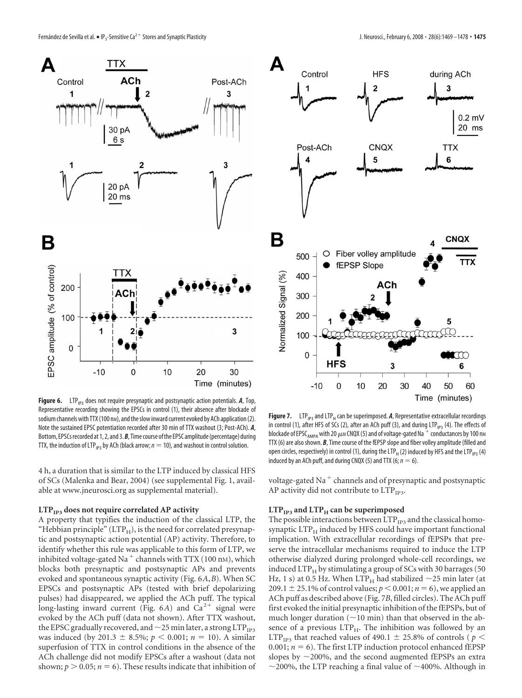



Figure 6. LTP<sub>IP3</sub> does not require presynaptic and postsynaptic action potentials. A, Top, Representative recording showing the EPSCs in control (1), their absence after blockade of sodium channels with TTX (100 nm), and the slow inward current evoked by ACh application (2). Note the sustained EPSC potentiation recorded after 30 min of TTX washout (3; Post-ACh). *A*, Bottom, EPSCs recorded at 1, 2, and 3. **B**, Time course of the EPSC amplitude (percentage) during TTX, the induction of LTP<sub>IP3</sub> by ACh (black arrow;  $n = 10$ ), and washout in control solution.

4 h, a duration that is similar to the LTP induced by classical HFS of SCs (Malenka and Bear, 2004) (see supplemental Fig. 1, available at www.jneurosci.org as supplemental material).

#### LTP<sub>IP3</sub> does not require correlated AP activity

A property that typifies the induction of the classical LTP, the "Hebbian principle" ( $LTP<sub>H</sub>$ ), is the need for correlated presynaptic and postsynaptic action potential (AP) activity. Therefore, to identify whether this rule was applicable to this form of LTP, we inhibited voltage-gated Na<sup>+</sup> channels with TTX (100 nm), which blocks both presynaptic and postsynaptic APs and prevents evoked and spontaneous synaptic activity (Fig. 6*A*,*B*). When SC EPSCs and postsynaptic APs (tested with brief depolarizing pulses) had disappeared, we applied the ACh puff. The typical long-lasting inward current (Fig.  $6A$ ) and  $Ca^{2+}$  signal were evoked by the ACh puff (data not shown). After TTX washout, the EPSC gradually recovered, and  ${\sim}$  25 min later, a strong LTP $_{\rm IP3}$ was induced (by 201.3  $\pm$  8.5%;  $p < 0.001$ ;  $n = 10$ ). A similar superfusion of TTX in control conditions in the absence of the ACh challenge did not modify EPSCs after a washout (data not shown;  $p > 0.05$ ;  $n = 6$ ). These results indicate that inhibition of

**Figure 7.** LTP<sub>IP3</sub> and LTP<sub>H</sub> can be superimposed. **A**, Representative extracellular recordings in control (1), after HFS of SCs (2), after an ACh puff (3), and during LTP<sub>IP3</sub> (4). The effects of blockade of EPSC<sub>AMPA</sub> with 20  $\mu$ M CNQX (5) and of voltage-gated Na  $^+$  conductances by 100 nM TTX (6) are also shown. *B*, Time course of the fEPSP slope and fiber volley amplitude (filled and open circles, respectively) in control (1), during the LTP $_H$  (2) induced by HFS and the LTP $_{IP3}$  (4) induced by an ACh puff, and during CNQX (5) and TTX (6;  $n = 6$ ).

voltage-gated Na<sup> $+$ </sup> channels and of presynaptic and postsynaptic AP activity did not contribute to  $LTP_{\text{IP3}}$ .

## $LTP_{IP3}$  and  $LTP_H$  can be superimposed

The possible interactions between LTP<sub>IP3</sub> and the classical homosynaptic  $LTP<sub>H</sub>$  induced by HFS could have important functional implication. With extracellular recordings of fEPSPs that preserve the intracellular mechanisms required to induce the LTP otherwise dialyzed during prolonged whole-cell recordings, we induced  $LTP_H$  by stimulating a group of SCs with 30 barrages (50 Hz, 1 s) at 0.5 Hz. When  $\text{LTP}_\text{H}$  had stabilized  $\sim$ 25 min later (at 209.1  $\pm$  25.1% of control values;  $p < 0.001; n = 6$ ), we applied an ACh puff as described above (Fig. 7*B*, filled circles). The ACh puff first evoked the initial presynaptic inhibition of the fEPSPs, but of much longer duration  $(\sim 10 \text{ min})$  than that observed in the absence of a previous LTP<sub>H</sub>. The inhibition was followed by an LTP<sub>IP3</sub> that reached values of 490.1  $\pm$  25.8% of controls (  $p <$ 0.001;  $n = 6$ ). The first LTP induction protocol enhanced fEPSP slopes by  $\sim$ 200%, and the second augmented fEPSPs an extra  $\sim$ 200%, the LTP reaching a final value of  $\sim$ 400%. Although in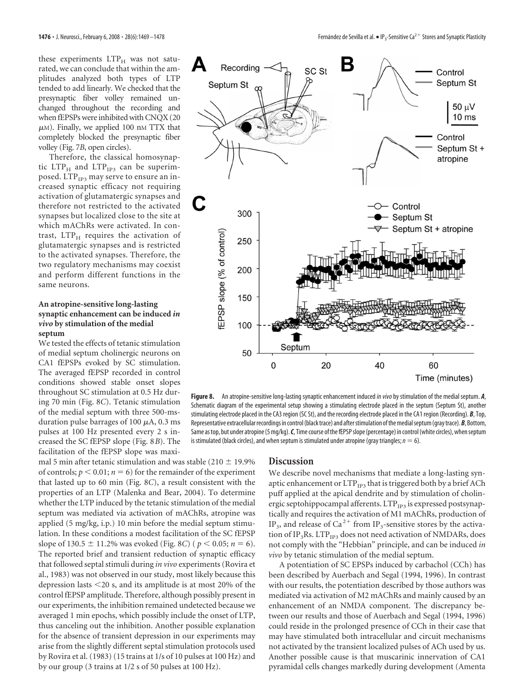these experiments  $LTP<sub>H</sub>$  was not saturated, we can conclude that within the amplitudes analyzed both types of LTP tended to add linearly. We checked that the presynaptic fiber volley remained unchanged throughout the recording and when fEPSPs were inhibited with CNQX (20  $\mu$ M). Finally, we applied 100 nM TTX that completely blocked the presynaptic fiber volley (Fig. 7*B*, open circles).

Therefore, the classical homosynaptic  $LTP_H$  and  $LTP_{IP3}$  can be superimposed. LTP<sub>IP3</sub> may serve to ensure an increased synaptic efficacy not requiring activation of glutamatergic synapses and therefore not restricted to the activated synapses but localized close to the site at which mAChRs were activated. In contrast,  $LTP<sub>H</sub>$  requires the activation of glutamatergic synapses and is restricted to the activated synapses. Therefore, the two regulatory mechanisms may coexist and perform different functions in the same neurons.

## **An atropine-sensitive long-lasting synaptic enhancement can be induced** *in vivo* **by stimulation of the medial septum**

We tested the effects of tetanic stimulation of medial septum cholinergic neurons on CA1 fEPSPs evoked by SC stimulation. The averaged fEPSP recorded in control conditions showed stable onset slopes throughout SC stimulation at 0.5 Hz during 70 min (Fig. 8*C*). Tetanic stimulation of the medial septum with three 500-msduration pulse barrages of 100  $\mu$ A, 0.3 ms pulses at 100 Hz presented every 2 s increased the SC fEPSP slope (Fig. 8*B*). The facilitation of the fEPSP slope was maxi-

mal 5 min after tetanic stimulation and was stable (210  $\pm$  19.9%) of controls;  $p < 0.01$ ;  $n = 6$ ) for the remainder of the experiment that lasted up to 60 min (Fig. 8*C*), a result consistent with the properties of an LTP (Malenka and Bear, 2004). To determine whether the LTP induced by the tetanic stimulation of the medial septum was mediated via activation of mAChRs, atropine was applied (5 mg/kg, i.p.) 10 min before the medial septum stimulation. In these conditions a modest facilitation of the SC fEPSP slope of 130.5  $\pm$  11.2% was evoked (Fig. 8*C*) ( $p < 0.05$ ;  $n = 6$ ). The reported brief and transient reduction of synaptic efficacy that followed septal stimuli during *in vivo* experiments (Rovira et al., 1983) was not observed in our study, most likely because this depression lasts 20 s, and its amplitude is at most 20% of the control fEPSP amplitude. Therefore, although possibly present in our experiments, the inhibition remained undetected because we averaged 1 min epochs, which possibly include the onset of LTP, thus canceling out the inhibition. Another possible explanation for the absence of transient depression in our experiments may arise from the slightly different septal stimulation protocols used by Rovira et al. (1983) (15 trains at 1/s of 10 pulses at 100 Hz) and by our group (3 trains at 1/2 s of 50 pulses at 100 Hz).



**Figure 8.** An atropine-sensitive long-lasting synaptic enhancement induced*in vivo*by stimulation of the medial septum. *A*, Schematic diagram of the experimental setup showing a stimulating electrode placed in the septum (Septum St), another stimulating electrode placed in the CA3 region (SC St), and the recording electrode placed in the CA1 region (Recording). *B*, Top, Representative extracellular recordings in control (black trace) and after stimulation of the medial septum (gray trace). **B**, Bottom, Same as top, but under atropine (5 mg/kg). *C*, Time course of the fEPSP slope (percentage) in control (white circles), when septum is stimulated (black circles), and when septum is stimulated under atropine (gray triangles;  $n = 6$ ).

# **Discussion**

We describe novel mechanisms that mediate a long-lasting synaptic enhancement or  $LTP_{IP3}$  that is triggered both by a brief ACh puff applied at the apical dendrite and by stimulation of cholinergic septohippocampal afferents.  $LTP_{IP3}$  is expressed postsynaptically and requires the activation of M1 mAChRs, production of IP<sub>3</sub>, and release of Ca<sup>2+</sup> from IP<sub>3</sub>-sensitive stores by the activation of IP<sub>3</sub>Rs. LTP<sub>IP3</sub> does not need activation of NMDARs, does not comply with the "Hebbian" principle, and can be induced *in vivo* by tetanic stimulation of the medial septum.

A potentiation of SC EPSPs induced by carbachol (CCh) has been described by Auerbach and Segal (1994, 1996). In contrast with our results, the potentiation described by those authors was mediated via activation of M2 mAChRs and mainly caused by an enhancement of an NMDA component. The discrepancy between our results and those of Auerbach and Segal (1994, 1996) could reside in the prolonged presence of CCh in their case that may have stimulated both intracellular and circuit mechanisms not activated by the transient localized pulses of ACh used by us. Another possible cause is that muscarinic innervation of CA1 pyramidal cells changes markedly during development (Amenta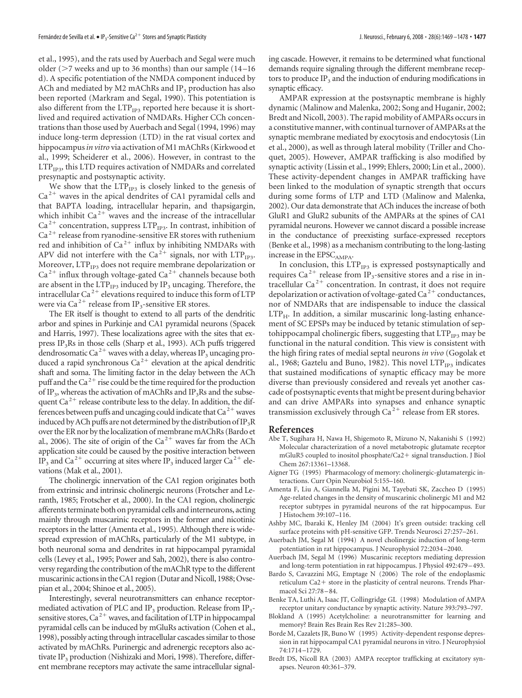et al., 1995), and the rats used by Auerbach and Segal were much older ( $>$ 7 weeks and up to 36 months) than our sample (14–16 d). A specific potentiation of the NMDA component induced by ACh and mediated by M2 mAChRs and  $IP<sub>3</sub>$  production has also been reported (Markram and Segal, 1990). This potentiation is also different from the  $LTP_{IP3}$  reported here because it is shortlived and required activation of NMDARs. Higher CCh concentrations than those used by Auerbach and Segal (1994, 1996) may induce long-term depression (LTD) in the rat visual cortex and hippocampus*in vitro* via activation of M1 mAChRs (Kirkwood et al., 1999; Scheiderer et al., 2006). However, in contrast to the  $LTP_{IP3}$ , this LTD requires activation of NMDARs and correlated presynaptic and postsynaptic activity.

We show that the  $LTP_{IP3}$  is closely linked to the genesis of  $Ca<sup>2+</sup>$  waves in the apical dendrites of CA1 pyramidal cells and that BAPTA loading, intracellular heparin, and thapsigargin, which inhibit Ca<sup>2+</sup> waves and the increase of the intracellular  $Ca<sup>2+</sup>$  concentration, suppress LTP<sub>IP3</sub>. In contrast, inhibition of  $Ca<sup>2+</sup>$  release from ryanodine-sensitive ER stores with ruthenium red and inhibition of  $Ca^{2+}$  influx by inhibiting NMDARs with APV did not interfere with the Ca<sup>2+</sup> signals, nor with LTP<sub>IP3</sub>. Moreover,  $\mathrm{LTP}_\mathrm{IP3}$  does not require membrane depolarization or  $Ca<sup>2+</sup>$  influx through voltage-gated  $Ca<sup>2+</sup>$  channels because both are absent in the  $LTP_{IP3}$  induced by  $IP_3$  uncaging. Therefore, the intracellular Ca<sup>2+</sup> elevations required to induce this form of LTP were via Ca<sup>2+</sup> release from IP<sub>3</sub>-sensitive ER stores.

The ER itself is thought to extend to all parts of the dendritic arbor and spines in Purkinje and CA1 pyramidal neurons (Spacek and Harris, 1997). These localizations agree with the sites that express IP<sub>3</sub>Rs in those cells (Sharp et al., 1993). ACh puffs triggered dendrosomatic Ca<sup>2+</sup> waves with a delay, whereas IP<sub>3</sub> uncaging produced a rapid synchronous  $Ca^{2+}$  elevation at the apical dendritic shaft and soma. The limiting factor in the delay between the ACh puff and the  $Ca^{2+}$  rise could be the time required for the production of IP<sub>3</sub>, whereas the activation of mAChRs and IP<sub>3</sub>Rs and the subsequent Ca<sup>2+</sup> release contribute less to the delay. In addition, the differences between puffs and uncaging could indicate that  $Ca^{2+}$  waves induced by ACh puffs are not determined by the distribution of  $IP_3R$ over the ER nor by the localization of membrane mAChRs (Bardo et al., 2006). The site of origin of the  $Ca^{2+}$  waves far from the ACh application site could be caused by the positive interaction between IP<sub>3</sub> and Ca<sup>2+</sup> occurring at sites where IP<sub>3</sub> induced larger Ca<sup>2+</sup> elevations (Mak et al., 2001).

The cholinergic innervation of the CA1 region originates both from extrinsic and intrinsic cholinergic neurons (Frotscher and Leranth, 1985; Frotscher et al., 2000). In the CA1 region, cholinergic afferents terminate both on pyramidal cells and interneurons, acting mainly through muscarinic receptors in the former and nicotinic receptors in the latter (Amenta et al., 1995). Although there is widespread expression of mAChRs, particularly of the M1 subtype, in both neuronal soma and dendrites in rat hippocampal pyramidal cells (Levey et al., 1995; Power and Sah, 2002), there is also controversy regarding the contribution of the mAChR type to the different muscarinic actions in the CA1 region (Dutar and Nicoll, 1988; Ovsepian et al., 2004; Shinoe et al., 2005).

Interestingly, several neurotransmitters can enhance receptormediated activation of PLC and IP<sub>3</sub> production. Release from IP<sub>3</sub>sensitive stores,  $Ca^{2+}$  waves, and facilitation of LTP in hippocampal pyramidal cells can be induced by mGluRs activation (Cohen et al., 1998), possibly acting through intracellular cascades similar to those activated by mAChRs. Purinergic and adrenergic receptors also activate IP<sub>3</sub> production (Nishizaki and Mori, 1998). Therefore, different membrane receptors may activate the same intracellular signaling cascade. However, it remains to be determined what functional demands require signaling through the different membrane receptors to produce  $IP_3$  and the induction of enduring modifications in synaptic efficacy.

AMPAR expression at the postsynaptic membrane is highly dynamic (Malinow and Malenka, 2002; Song and Huganir, 2002; Bredt and Nicoll, 2003). The rapid mobility of AMPARs occurs in a constitutive manner, with continual turnover of AMPARs at the synaptic membrane mediated by exocytosis and endocytosis (Lin et al., 2000), as well as through lateral mobility (Triller and Choquet, 2005). However, AMPAR trafficking is also modified by synaptic activity (Lissin et al., 1999; Ehlers, 2000; Lin et al., 2000). These activity-dependent changes in AMPAR trafficking have been linked to the modulation of synaptic strength that occurs during some forms of LTP and LTD (Malinow and Malenka, 2002). Our data demonstrate that ACh induces the increase of both GluR1 and GluR2 subunits of the AMPARs at the spines of CA1 pyramidal neurons. However we cannot discard a possible increase in the conductance of preexisting surface-expressed receptors (Benke et al., 1998) as a mechanism contributing to the long-lasting increase in the  $\mathrm{EPSC}_{\mathrm{AMPA}}.$ 

In conclusion, this  $LTP_{IP3}$  is expressed postsynaptically and requires  $Ca^{2+}$  release from IP<sub>3</sub>-sensitive stores and a rise in intracellular Ca<sup>2+</sup> concentration. In contrast, it does not require depolarization or activation of voltage-gated  $Ca^{2+}$  conductances, nor of NMDARs that are indispensable to induce the classical  $LTP<sub>H</sub>$ . In addition, a similar muscarinic long-lasting enhancement of SC EPSPs may be induced by tetanic stimulation of septohippocampal cholinergic fibers, suggesting that  $LTP_{IP3}$  may be functional in the natural condition. This view is consistent with the high firing rates of medial septal neurons *in vivo* (Gogolak et al., 1968; Gaztelu and Buno, 1982). This novel  $\text{LTP}_{\text{TP3}}$  indicates that sustained modifications of synaptic efficacy may be more diverse than previously considered and reveals yet another cascade of postsynaptic events that might be present during behavior and can drive AMPARs into synapses and enhance synaptic transmission exclusively through  $Ca<sup>2+</sup>$  release from ER stores.

#### **References**

- Abe T, Sugihara H, Nawa H, Shigemoto R, Mizuno N, Nakanishi S (1992) Molecular characterization of a novel metabotropic glutamate receptor mGluR5 coupled to inositol phosphate/Ca2+ signal transduction. J Biol Chem 267:13361–13368.
- Aigner TG (1995) Pharmacology of memory: cholinergic-glutamatergic interactions. Curr Opin Neurobiol 5:155–160.
- Amenta F, Liu A, Giannella M, Pigini M, Tayebati SK, Zaccheo D (1995) Age-related changes in the density of muscarinic cholinergic M1 and M2 receptor subtypes in pyramidal neurons of the rat hippocampus. Eur J Histochem 39:107–116.
- Ashby MC, Ibaraki K, Henley JM (2004) It's green outside: tracking cell surface proteins with pH-sensitive GFP. Trends Neurosci 27:257–261.
- Auerbach JM, Segal M (1994) A novel cholinergic induction of long-term potentiation in rat hippocampus. J Neurophysiol 72:2034 –2040.
- Auerbach JM, Segal M (1996) Muscarinic receptors mediating depression and long-term potentiation in rat hippocampus. J Physiol 492:479 – 493.
- Bardo S, Cavazzini MG, Emptage N (2006) The role of the endoplasmic reticulum Ca2+ store in the plasticity of central neurons. Trends Pharmacol Sci 27:78 – 84.
- Benke TA, Luthi A, Isaac JT, Collingridge GL (1998) Modulation of AMPA receptor unitary conductance by synaptic activity. Nature 393:793–797.
- Blokland A (1995) Acetylcholine: a neurotransmitter for learning and memory? Brain Res Brain Res Rev 21:285–300.
- Borde M, Cazalets JR, Buno W (1995) Activity-dependent response depression in rat hippocampal CA1 pyramidal neurons in vitro. J Neurophysiol 74:1714 –1729.
- Bredt DS, Nicoll RA (2003) AMPA receptor trafficking at excitatory synapses. Neuron 40:361–379.